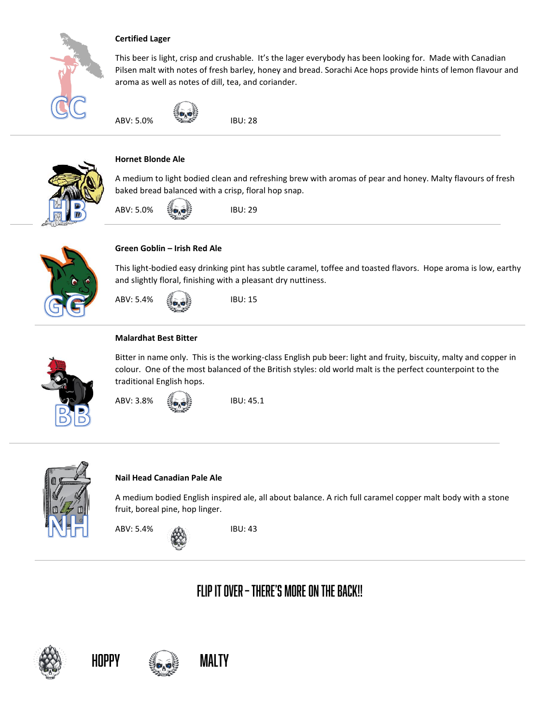

#### **Certified Lager**

This beer is light, crisp and crushable. It's the lager everybody has been looking for. Made with Canadian Pilsen malt with notes of fresh barley, honey and bread. Sorachi Ace hops provide hints of lemon flavour and aroma as well as notes of dill, tea, and coriander.





## **Hornet Blonde Ale**

A medium to light bodied clean and refreshing brew with aromas of pear and honey. Malty flavours of fresh baked bread balanced with a crisp, floral hop snap.





#### **Green Goblin – Irish Red Ale**

This light-bodied easy drinking pint has subtle caramel, toffee and toasted flavors. Hope aroma is low, earthy and slightly floral, finishing with a pleasant dry nuttiness.



#### **Malardhat Best Bitter**



Bitter in name only. This is the working-class English pub beer: light and fruity, biscuity, malty and copper in colour. One of the most balanced of the British styles: old world malt is the perfect counterpoint to the traditional English hops.

ABV: 3.8% **IBU: 45.1** 



#### **Nail Head Canadian Pale Ale**

A medium bodied English inspired ale, all about balance. A rich full caramel copper malt body with a stone fruit, boreal pine, hop linger.

ABV: 5.4% ABV: 5.4%

# FLIP IT OVER - THERE'S MORE ON THE BACK!!